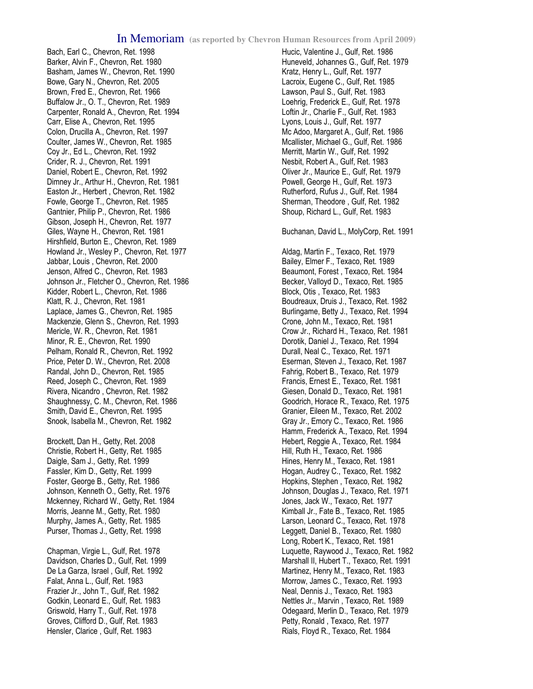Bach, Earl C., Chevron, Ret. 1998 Barker, Alvin F., Chevron, Ret. 1980 Basham, James W., Chevron, Ret. 1990 Bowe, Gary N., Chevron, Ret. 2005 Brown, Fred E., Chevron, Ret. 1966 Buffalow Jr., O. T., Chevron, Ret. 1989 Carpenter, Ronald A., Chevron, Ret. 1994 Carr, Elise A., Chevron, Ret. 1995 Colon, Drucilla A., Chevron, Ret. 1997 Coulter, James W., Chevron, Ret. 1985 Coy Jr., Ed L., Chevron, Ret. 1992 Crider, R. J., Chevron, Ret. 1991 Daniel, Robert E., Chevron, Ret. 1992 Dimney Jr., Arthur H., Chevron, Ret. 1981 Easton Jr., Herbert , Chevron, Ret. 1982 Fowle, George T., Chevron, Ret. 1985 Gantnier, Philip P., Chevron, Ret. 1986 Gibson, Joseph H., Chevron, Ret. 1977 Giles, Wayne H., Chevron, Ret. 1981 Hirshfield, Burton E., Chevron, Ret. 1989 Howland Jr., Wesley P., Chevron, Ret. 1977 Jabbar, Louis , Chevron, Ret. 2000 Jenson, Alfred C., Chevron, Ret. 1983 Johnson Jr., Fletcher O., Chevron, Ret. 1986 Kidder, Robert L., Chevron, Ret. 1986 Klatt, R. J., Chevron, Ret. 1981 Laplace, James G., Chevron, Ret. 1985 Mackenzie, Glenn S., Chevron, Ret. 1993 Mericle, W. R., Chevron, Ret. 1981 Minor, R. E., Chevron, Ret. 1990 Pelham, Ronald R., Chevron, Ret. 1992 Price, Peter D. W., Chevron, Ret. 2008 Randal, John D., Chevron, Ret. 1985 Reed, Joseph C., Chevron, Ret. 1989 Rivera, Nicandro , Chevron, Ret. 1982 Shaughnessy, C. M., Chevron, Ret. 1986 Smith, David E., Chevron, Ret. 1995 Snook, Isabella M., Chevron, Ret. 1982

Brockett, Dan H., Getty, Ret. 2008 Christie, Robert H., Getty, Ret. 1985 Daigle, Sam J., Getty, Ret. 1999 Fassler, Kim D., Getty, Ret. 1999 Foster, George B., Getty, Ret. 1986 Johnson, Kenneth O., Getty, Ret. 1976 Mckenney, Richard W., Getty, Ret. 1984 Morris, Jeanne M., Getty, Ret. 1980 Murphy, James A., Getty, Ret. 1985 Purser, Thomas J., Getty, Ret. 1998

Chapman, Virgie L., Gulf, Ret. 1978 Davidson, Charles D., Gulf, Ret. 1999 De La Garza, Israel , Gulf, Ret. 1992 Falat, Anna L., Gulf, Ret. 1983 Frazier Jr., John T., Gulf, Ret. 1982 Godkin, Leonard E., Gulf, Ret. 1983 Griswold, Harry T., Gulf, Ret. 1978 Groves, Clifford D., Gulf, Ret. 1983 Hensler, Clarice , Gulf, Ret. 1983

Hucic, Valentine J., Gulf, Ret. 1986 Huneveld, Johannes G., Gulf, Ret. 1979 Kratz, Henry L., Gulf, Ret. 1977 Lacroix, Eugene C., Gulf, Ret. 1985 Lawson, Paul S., Gulf, Ret. 1983 Loehrig, Frederick E., Gulf, Ret. 1978 Loftin Jr., Charlie F., Gulf, Ret. 1983 Lyons, Louis J., Gulf, Ret. 1977 Mc Adoo, Margaret A., Gulf, Ret. 1986 Mcallister, Michael G., Gulf, Ret. 1986 Merritt, Martin W., Gulf, Ret. 1992 Nesbit, Robert A., Gulf, Ret. 1983 Oliver Jr., Maurice E., Gulf, Ret. 1979 Powell, George H., Gulf, Ret. 1973 Rutherford, Rufus J., Gulf, Ret. 1984 Sherman, Theodore , Gulf, Ret. 1982 Shoup, Richard L., Gulf, Ret. 1983 Buchanan, David L., MolyCorp, Ret. 1991 Aldag, Martin F., Texaco, Ret. 1979 Bailey, Elmer F., Texaco, Ret. 1989 Beaumont, Forest , Texaco, Ret. 1984 Becker, Valloyd D., Texaco, Ret. 1985 Block, Otis , Texaco, Ret. 1983 Boudreaux, Druis J., Texaco, Ret. 1982 Burlingame, Betty J., Texaco, Ret. 1994 Crone, John M., Texaco, Ret. 1981 Crow Jr., Richard H., Texaco, Ret. 1981 Dorotik, Daniel J., Texaco, Ret. 1994 Durall, Neal C., Texaco, Ret. 1971 Eserman, Steven J., Texaco, Ret. 1987 Fahrig, Robert B., Texaco, Ret. 1979 Francis, Ernest E., Texaco, Ret. 1981 Giesen, Donald D., Texaco, Ret. 1981 Goodrich, Horace R., Texaco, Ret. 1975 Granier, Eileen M., Texaco, Ret. 2002 Gray Jr., Emory C., Texaco, Ret. 1986 Hamm, Frederick A., Texaco, Ret. 1994 Hebert, Reggie A., Texaco, Ret. 1984 Hill, Ruth H., Texaco, Ret. 1986 Hines, Henry M., Texaco, Ret. 1981 Hogan, Audrey C., Texaco, Ret. 1982 Hopkins, Stephen , Texaco, Ret. 1982 Johnson, Douglas J., Texaco, Ret. 1971 Jones, Jack W., Texaco, Ret. 1977 Kimball Jr., Fate B., Texaco, Ret. 1985 Larson, Leonard C., Texaco, Ret. 1978 Leggett, Daniel B., Texaco, Ret. 1980 Long, Robert K., Texaco, Ret. 1981 Luquette, Raywood J., Texaco, Ret. 1982 Marshall II, Hubert T., Texaco, Ret. 1991 Martinez, Henry M., Texaco, Ret. 1983 Morrow, James C., Texaco, Ret. 1993 Neal, Dennis J., Texaco, Ret. 1983 Nettles Jr., Marvin , Texaco, Ret. 1989 Odegaard, Merlin D., Texaco, Ret. 1979 Petty, Ronald , Texaco, Ret. 1977

Rials, Floyd R., Texaco, Ret. 1984